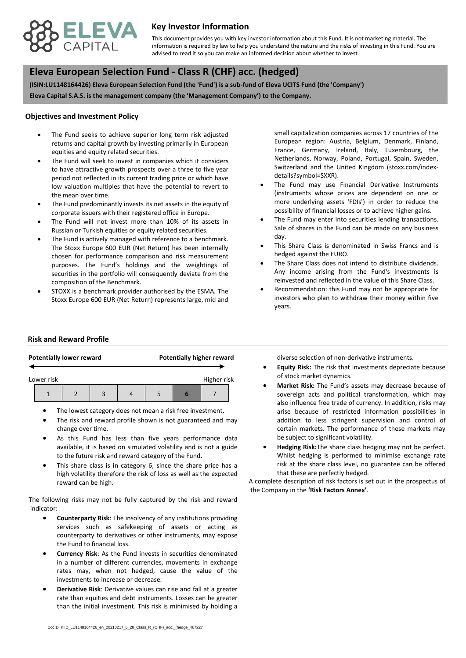

## **Key Investor Information**

advised to read it so you can make an informed decision about whether to invest. This document provides you with key investor information about this Fund. It is not marketing material. The information is required by law to help you understand the nature and the risks of investing in this Fund. You are

# **, Eleva European Selection Fund - Class R (CHF) acc. (hedged)**

**(ISIN:LU1148164426) Eleva European Selection Fund (the 'Fund') is a sub-fund of Eleva UCITS Fund (the 'Company') Eleva Capital S.A.S. is the management company (the 'Management Company') to the Company.**

#### **Objectives and Investment Policy**

- equities and equity related securities. The Fund seeks to achieve superior long term risk adjusted returns and capital growth by investing primarily in European
- The Fund will seek to invest in companies which it considers to have attractive growth prospects over a three to five year period not reflected in its current trading price or which have low valuation multiples that have the potential to revert to the mean over time.
- The Fund predominantly invests its net assets in the equity of corporate issuers with their registered office in Europe.
- The Fund will not invest more than 10% of its assets in Russian or Turkish equities or equity related securities.
- The Fund is actively managed with reference to a benchmark. The Stoxx Europe 600 EUR (Net Return) has been internally chosen for performance comparison and risk measurement purposes. The Fund's holdings and the weightings of securities in the portfolio will consequently deviate from the composition of the Benchmark.
- STOXX is a benchmark provider authorised by the ESMA. The Stoxx Europe 600 EUR (Net Return) represents large, mid and

small capitalization companies across 17 countries of the European region: Austria, Belgium, Denmark, Finland, France, Germany, Ireland, Italy, Luxembourg, the Netherlands, Norway, Poland, Portugal, Spain, Sweden, Switzerland and the United Kingdom (stoxx.com/indexdetails?symbol=SXXR).

- The Fund may use Financial Derivative Instruments (instruments whose prices are dependent on one or more underlying assets 'FDIs') in order to reduce the possibility of financial losses or to achieve higher gains.
- The Fund may enter into securities lending transactions. Sale of shares in the Fund can be made on any business day.
- This Share Class is denominated in Swiss Francs and is hedged against the EURO.
- The Share Class does not intend to distribute dividends. Any income arising from the Fund's investments is reinvested and reflected in the value of this Share Class.
- Recommendation: this Fund may not be appropriate for investors who plan to withdraw their money within five years.

#### **Risk and Reward Profile**

|                           |  | <b>Potentially lower reward</b> |  |  | <b>Potentially higher reward</b> |  |  |  |
|---------------------------|--|---------------------------------|--|--|----------------------------------|--|--|--|
| Higher risk<br>Lower risk |  |                                 |  |  |                                  |  |  |  |
|                           |  |                                 |  |  |                                  |  |  |  |

- The lowest category does not mean a risk free investment.
- The risk and reward profile shown is not guaranteed and may change over time.
- As this Fund has less than five years performance data available, it is based on simulated volatility and is not a guide to the future risk and reward category of the Fund.
- This share class is in category 6, since the share price has a high volatility therefore the risk of loss as well as the expected reward can be high.

The following risks may not be fully captured by the risk and reward indicator:

- **Counterparty Risk**: The insolvency of any institutions providing services such as safekeeping of assets or acting as counterparty to derivatives or other instruments, may expose the Fund to financial loss.
- **Currency Risk**: As the Fund invests in securities denominated in a number of different currencies, movements in exchange rates may, when not hedged, cause the value of the investments to increase or decrease.
- **Derivative Risk**: Derivative values can rise and fall at a greater rate than equities and debt instruments. Losses can be greater than the initial investment. This risk is minimised by holding a

diverse selection of non-derivative instruments.

- **Equity Risk:** The risk that investments depreciate because of stock market dynamics.
- **Market Risk:** The Fund's assets may decrease because of sovereign acts and political transformation, which may also influence free trade of currency. In addition, risks may arise because of restricted information possibilities in addition to less stringent supervision and control of certain markets. The performance of these markets may be subject to significant volatility.
- **Hedging Risk:**The share class hedging may not be perfect. Whilst hedging is performed to minimise exchange rate risk at the share class level, no guarantee can be offered that these are perfectly hedged.

A complete description of risk factors is set out in the prospectus of the Company in the **'Risk Factors Annex'**.